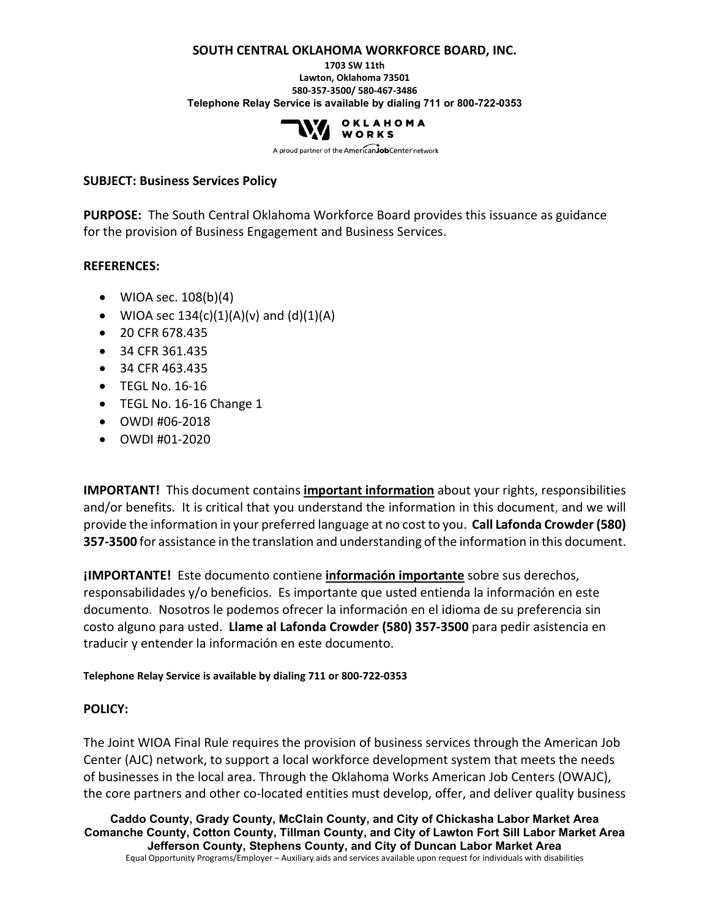#### **SOUTH CENTRAL OKLAHOMA WORKFORCE BOARD, INC.**

**1703 SW 11th Lawton, Oklahoma 73501 580-357-3500/ 580-467-3486 Telephone Relay Service is available by dialing 711 or 800-722-0353**



A proud partner of the AmericanJobCenter network

#### **SUBJECT: Business Services Policy**

**PURPOSE:** The South Central Oklahoma Workforce Board provides this issuance as guidance for the provision of Business Engagement and Business Services.

#### **REFERENCES:**

- WIOA sec.  $108(b)(4)$
- WIOA sec  $134(c)(1)(A)(v)$  and  $(d)(1)(A)$
- 20 CFR 678.435
- 34 CFR 361.435
- 34 CFR 463.435
- TEGL No. 16-16
- TEGL No. 16-16 Change 1
- OWDI #06-2018
- OWDI #01-2020

**IMPORTANT!** This document contains **important information** about your rights, responsibilities and/or benefits. It is critical that you understand the information in this document, and we will provide the information in your preferred language at no cost to you. **Call Lafonda Crowder (580) 357-3500** for assistance in the translation and understanding of the information in this document.

**¡IMPORTANTE!** Este documento contiene **información importante** sobre sus derechos, responsabilidades y/o beneficios. Es importante que usted entienda la información en este documento. Nosotros le podemos ofrecer la información en el idioma de su preferencia sin costo alguno para usted. **Llame al Lafonda Crowder (580) 357-3500** para pedir asistencia en traducir y entender la información en este documento.

**Telephone Relay Service is available by dialing 711 or 800-722-0353**

#### **POLICY:**

The Joint WIOA Final Rule requires the provision of business services through the American Job Center (AJC) network, to support a local workforce development system that meets the needs of businesses in the local area. Through the Oklahoma Works American Job Centers (OWAJC), the core partners and other co-located entities must develop, offer, and deliver quality business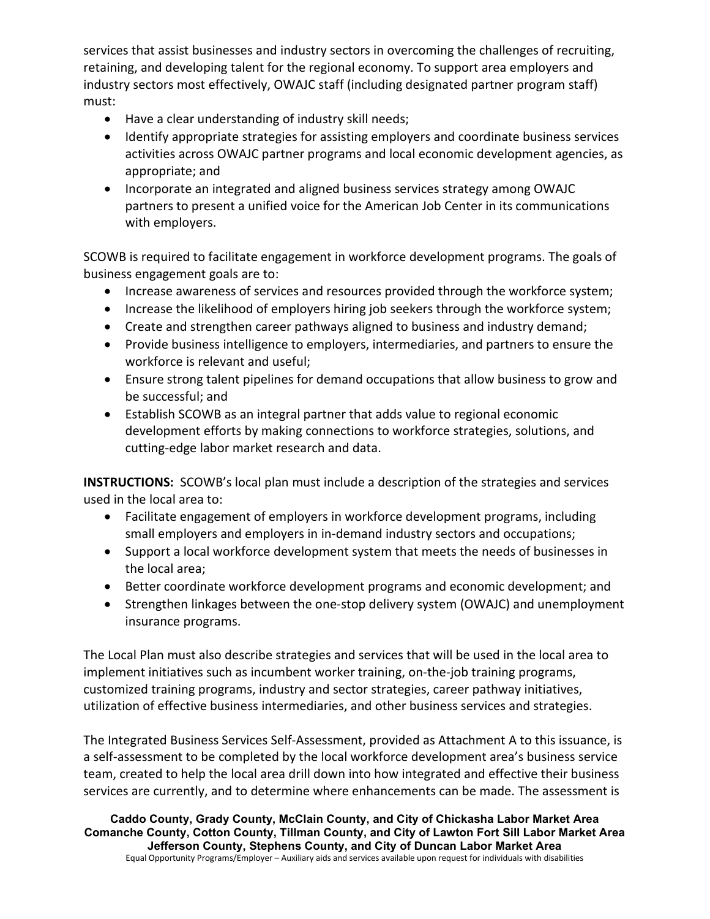services that assist businesses and industry sectors in overcoming the challenges of recruiting, retaining, and developing talent for the regional economy. To support area employers and industry sectors most effectively, OWAJC staff (including designated partner program staff) must:

- Have a clear understanding of industry skill needs;
- Identify appropriate strategies for assisting employers and coordinate business services activities across OWAJC partner programs and local economic development agencies, as appropriate; and
- Incorporate an integrated and aligned business services strategy among OWAJC partners to present a unified voice for the American Job Center in its communications with employers.

SCOWB is required to facilitate engagement in workforce development programs. The goals of business engagement goals are to:

- Increase awareness of services and resources provided through the workforce system;
- Increase the likelihood of employers hiring job seekers through the workforce system;
- Create and strengthen career pathways aligned to business and industry demand;
- Provide business intelligence to employers, intermediaries, and partners to ensure the workforce is relevant and useful;
- Ensure strong talent pipelines for demand occupations that allow business to grow and be successful; and
- Establish SCOWB as an integral partner that adds value to regional economic development efforts by making connections to workforce strategies, solutions, and cutting-edge labor market research and data.

**INSTRUCTIONS:** SCOWB's local plan must include a description of the strategies and services used in the local area to:

- Facilitate engagement of employers in workforce development programs, including small employers and employers in in-demand industry sectors and occupations;
- Support a local workforce development system that meets the needs of businesses in the local area;
- Better coordinate workforce development programs and economic development; and
- Strengthen linkages between the one-stop delivery system (OWAJC) and unemployment insurance programs.

The Local Plan must also describe strategies and services that will be used in the local area to implement initiatives such as incumbent worker training, on-the-job training programs, customized training programs, industry and sector strategies, career pathway initiatives, utilization of effective business intermediaries, and other business services and strategies.

The Integrated Business Services Self-Assessment, provided as Attachment A to this issuance, is a self-assessment to be completed by the local workforce development area's business service team, created to help the local area drill down into how integrated and effective their business services are currently, and to determine where enhancements can be made. The assessment is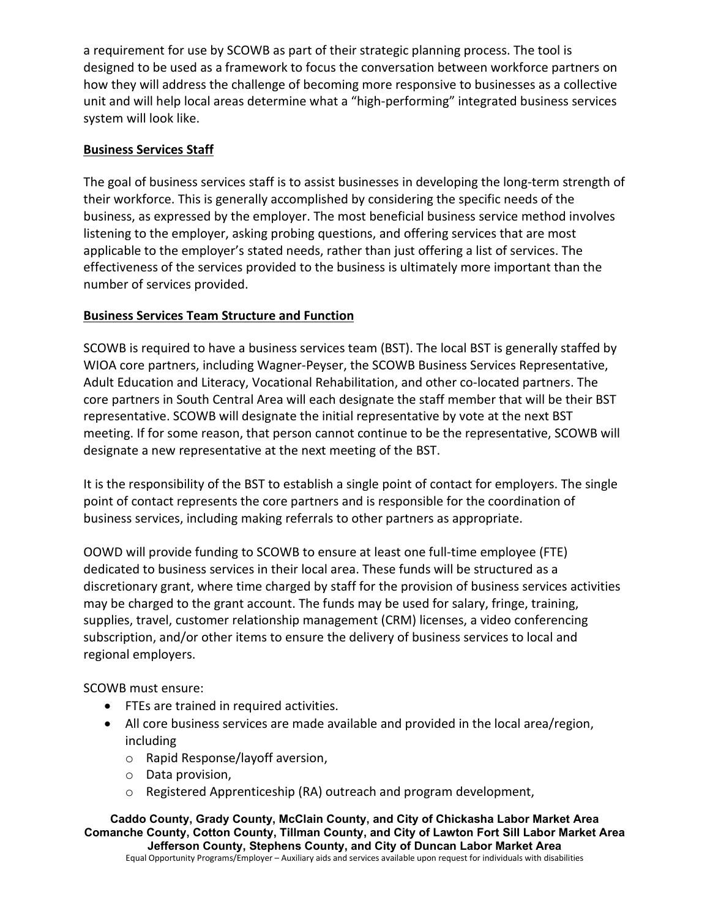a requirement for use by SCOWB as part of their strategic planning process. The tool is designed to be used as a framework to focus the conversation between workforce partners on how they will address the challenge of becoming more responsive to businesses as a collective unit and will help local areas determine what a "high-performing" integrated business services system will look like.

## **Business Services Staff**

The goal of business services staff is to assist businesses in developing the long-term strength of their workforce. This is generally accomplished by considering the specific needs of the business, as expressed by the employer. The most beneficial business service method involves listening to the employer, asking probing questions, and offering services that are most applicable to the employer's stated needs, rather than just offering a list of services. The effectiveness of the services provided to the business is ultimately more important than the number of services provided.

# **Business Services Team Structure and Function**

SCOWB is required to have a business services team (BST). The local BST is generally staffed by WIOA core partners, including Wagner-Peyser, the SCOWB Business Services Representative, Adult Education and Literacy, Vocational Rehabilitation, and other co-located partners. The core partners in South Central Area will each designate the staff member that will be their BST representative. SCOWB will designate the initial representative by vote at the next BST meeting. If for some reason, that person cannot continue to be the representative, SCOWB will designate a new representative at the next meeting of the BST.

It is the responsibility of the BST to establish a single point of contact for employers. The single point of contact represents the core partners and is responsible for the coordination of business services, including making referrals to other partners as appropriate.

OOWD will provide funding to SCOWB to ensure at least one full-time employee (FTE) dedicated to business services in their local area. These funds will be structured as a discretionary grant, where time charged by staff for the provision of business services activities may be charged to the grant account. The funds may be used for salary, fringe, training, supplies, travel, customer relationship management (CRM) licenses, a video conferencing subscription, and/or other items to ensure the delivery of business services to local and regional employers.

## SCOWB must ensure:

- FTEs are trained in required activities.
- All core business services are made available and provided in the local area/region, including
	- o Rapid Response/layoff aversion,
	- o Data provision,
	- o Registered Apprenticeship (RA) outreach and program development,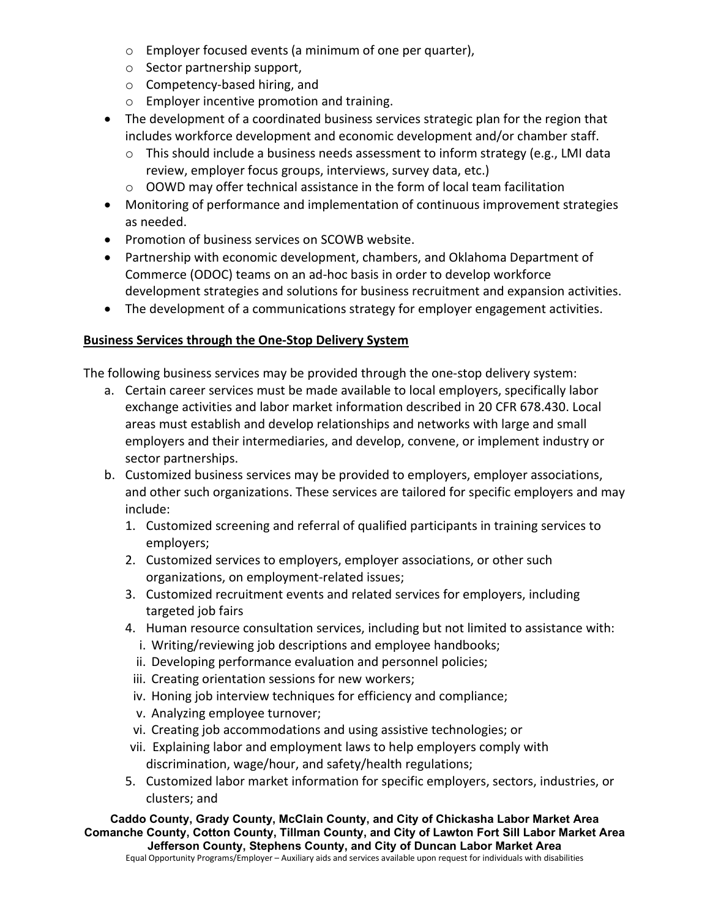- o Employer focused events (a minimum of one per quarter),
- o Sector partnership support,
- o Competency-based hiring, and
- o Employer incentive promotion and training.
- The development of a coordinated business services strategic plan for the region that includes workforce development and economic development and/or chamber staff.
	- o This should include a business needs assessment to inform strategy (e.g., LMI data review, employer focus groups, interviews, survey data, etc.)
	- o OOWD may offer technical assistance in the form of local team facilitation
- Monitoring of performance and implementation of continuous improvement strategies as needed.
- Promotion of business services on SCOWB website.
- Partnership with economic development, chambers, and Oklahoma Department of Commerce (ODOC) teams on an ad-hoc basis in order to develop workforce development strategies and solutions for business recruitment and expansion activities.
- The development of a communications strategy for employer engagement activities.

# **Business Services through the One-Stop Delivery System**

The following business services may be provided through the one-stop delivery system:

- a. Certain career services must be made available to local employers, specifically labor exchange activities and labor market information described in 20 CFR 678.430. Local areas must establish and develop relationships and networks with large and small employers and their intermediaries, and develop, convene, or implement industry or sector partnerships.
- b. Customized business services may be provided to employers, employer associations, and other such organizations. These services are tailored for specific employers and may include:
	- 1. Customized screening and referral of qualified participants in training services to employers;
	- 2. Customized services to employers, employer associations, or other such organizations, on employment-related issues;
	- 3. Customized recruitment events and related services for employers, including targeted job fairs
	- 4. Human resource consultation services, including but not limited to assistance with:
		- i. Writing/reviewing job descriptions and employee handbooks;
		- ii. Developing performance evaluation and personnel policies;
		- iii. Creating orientation sessions for new workers;
		- iv. Honing job interview techniques for efficiency and compliance;
		- v. Analyzing employee turnover;
		- vi. Creating job accommodations and using assistive technologies; or
	- vii. Explaining labor and employment laws to help employers comply with discrimination, wage/hour, and safety/health regulations;
	- 5. Customized labor market information for specific employers, sectors, industries, or clusters; and

**Caddo County, Grady County, McClain County, and City of Chickasha Labor Market Area Comanche County, Cotton County, Tillman County, and City of Lawton Fort Sill Labor Market Area Jefferson County, Stephens County, and City of Duncan Labor Market Area**

Equal Opportunity Programs/Employer – Auxiliary aids and services available upon request for individuals with disabilities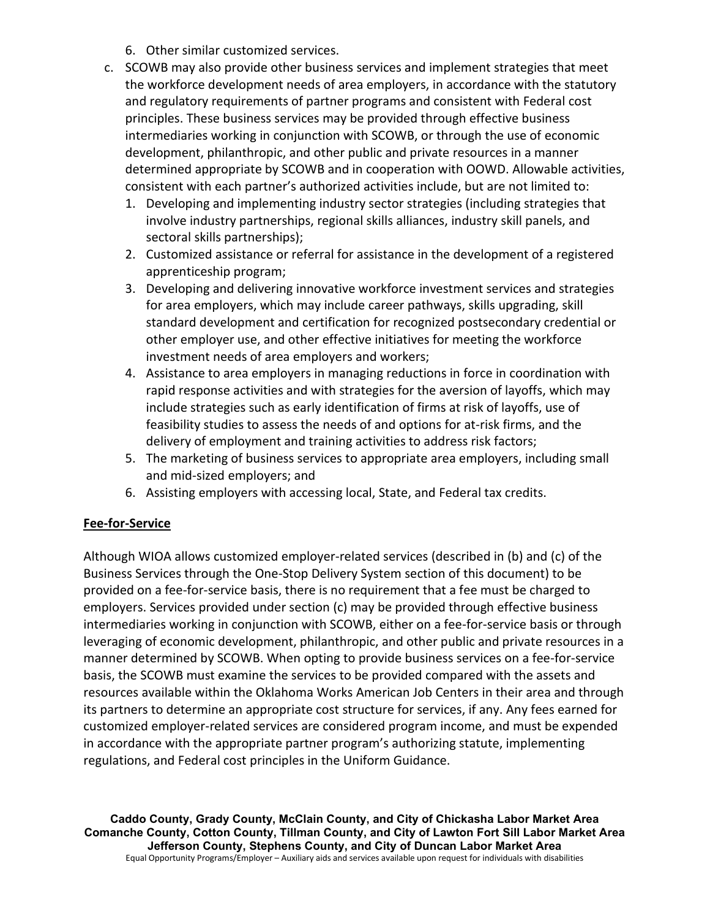- 6. Other similar customized services.
- c. SCOWB may also provide other business services and implement strategies that meet the workforce development needs of area employers, in accordance with the statutory and regulatory requirements of partner programs and consistent with Federal cost principles. These business services may be provided through effective business intermediaries working in conjunction with SCOWB, or through the use of economic development, philanthropic, and other public and private resources in a manner determined appropriate by SCOWB and in cooperation with OOWD. Allowable activities, consistent with each partner's authorized activities include, but are not limited to:
	- 1. Developing and implementing industry sector strategies (including strategies that involve industry partnerships, regional skills alliances, industry skill panels, and sectoral skills partnerships);
	- 2. Customized assistance or referral for assistance in the development of a registered apprenticeship program;
	- 3. Developing and delivering innovative workforce investment services and strategies for area employers, which may include career pathways, skills upgrading, skill standard development and certification for recognized postsecondary credential or other employer use, and other effective initiatives for meeting the workforce investment needs of area employers and workers;
	- 4. Assistance to area employers in managing reductions in force in coordination with rapid response activities and with strategies for the aversion of layoffs, which may include strategies such as early identification of firms at risk of layoffs, use of feasibility studies to assess the needs of and options for at-risk firms, and the delivery of employment and training activities to address risk factors;
	- 5. The marketing of business services to appropriate area employers, including small and mid-sized employers; and
	- 6. Assisting employers with accessing local, State, and Federal tax credits.

## **Fee-for-Service**

Although WIOA allows customized employer-related services (described in (b) and (c) of the Business Services through the One-Stop Delivery System section of this document) to be provided on a fee-for-service basis, there is no requirement that a fee must be charged to employers. Services provided under section (c) may be provided through effective business intermediaries working in conjunction with SCOWB, either on a fee-for-service basis or through leveraging of economic development, philanthropic, and other public and private resources in a manner determined by SCOWB. When opting to provide business services on a fee-for-service basis, the SCOWB must examine the services to be provided compared with the assets and resources available within the Oklahoma Works American Job Centers in their area and through its partners to determine an appropriate cost structure for services, if any. Any fees earned for customized employer-related services are considered program income, and must be expended in accordance with the appropriate partner program's authorizing statute, implementing regulations, and Federal cost principles in the Uniform Guidance.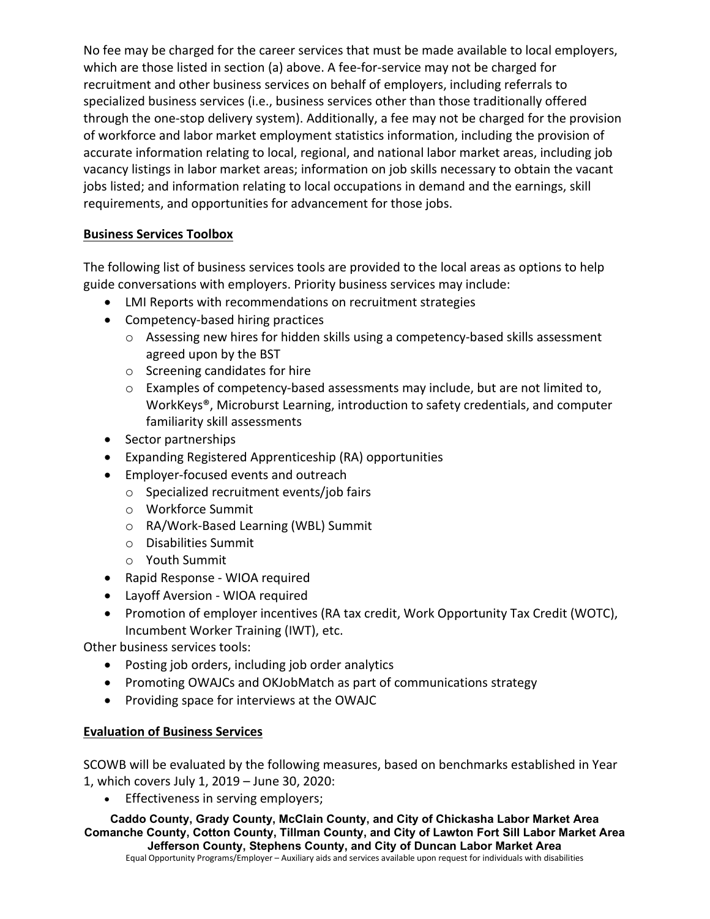No fee may be charged for the career services that must be made available to local employers, which are those listed in section (a) above. A fee-for-service may not be charged for recruitment and other business services on behalf of employers, including referrals to specialized business services (i.e., business services other than those traditionally offered through the one-stop delivery system). Additionally, a fee may not be charged for the provision of workforce and labor market employment statistics information, including the provision of accurate information relating to local, regional, and national labor market areas, including job vacancy listings in labor market areas; information on job skills necessary to obtain the vacant jobs listed; and information relating to local occupations in demand and the earnings, skill requirements, and opportunities for advancement for those jobs.

## **Business Services Toolbox**

The following list of business services tools are provided to the local areas as options to help guide conversations with employers. Priority business services may include:

- LMI Reports with recommendations on recruitment strategies
- Competency-based hiring practices
	- o Assessing new hires for hidden skills using a competency-based skills assessment agreed upon by the BST
	- o Screening candidates for hire
	- $\circ$  Examples of competency-based assessments may include, but are not limited to, WorkKeys®, Microburst Learning, introduction to safety credentials, and computer familiarity skill assessments
- Sector partnerships
- Expanding Registered Apprenticeship (RA) opportunities
- Employer-focused events and outreach
	- o Specialized recruitment events/job fairs
	- o Workforce Summit
	- o RA/Work-Based Learning (WBL) Summit
	- o Disabilities Summit
	- o Youth Summit
- Rapid Response WIOA required
- Layoff Aversion WIOA required
- Promotion of employer incentives (RA tax credit, Work Opportunity Tax Credit (WOTC), Incumbent Worker Training (IWT), etc.

Other business services tools:

- Posting job orders, including job order analytics
- Promoting OWAJCs and OKJobMatch as part of communications strategy
- Providing space for interviews at the OWAJC

## **Evaluation of Business Services**

SCOWB will be evaluated by the following measures, based on benchmarks established in Year 1, which covers July 1, 2019 – June 30, 2020:

• Effectiveness in serving employers;